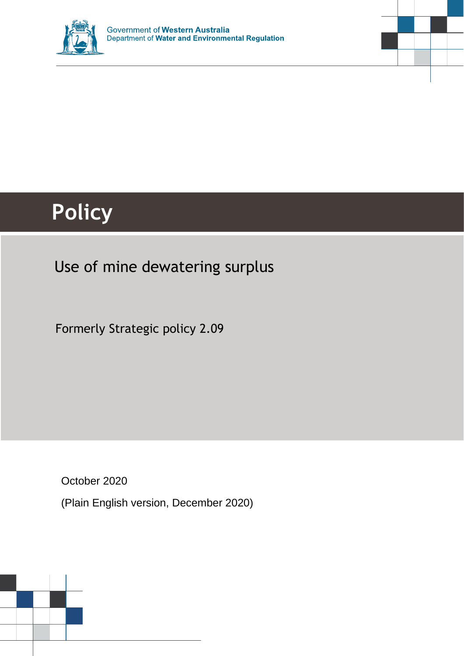



# **Policy**

## Use of mine dewatering surplus

Formerly Strategic policy 2.09

October 2020

(Plain English version, December 2020)

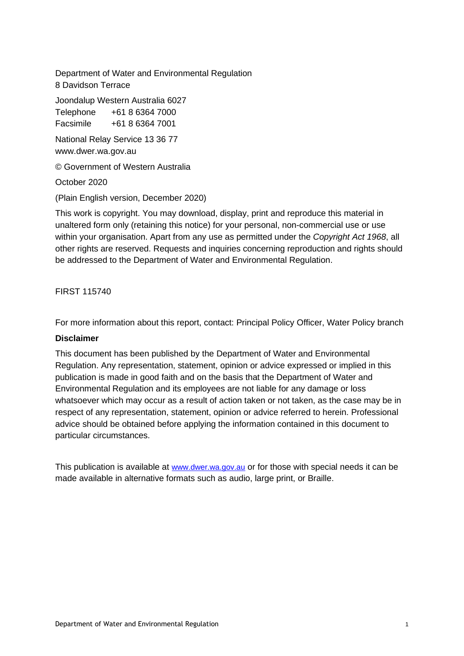Department of Water and Environmental Regulation 8 Davidson Terrace

Joondalup Western Australia 6027 Telephone +61 8 6364 7000

Facsimile +61 8 6364 7001

National Relay Service 13 36 77 www.dwer.wa.gov.au

© Government of Western Australia

October 2020

(Plain English version, December 2020)

This work is copyright. You may download, display, print and reproduce this material in unaltered form only (retaining this notice) for your personal, non-commercial use or use within your organisation. Apart from any use as permitted under the *Copyright Act 1968*, all other rights are reserved. Requests and inquiries concerning reproduction and rights should be addressed to the Department of Water and Environmental Regulation.

FIRST 115740

For more information about this report, contact: Principal Policy Officer, Water Policy branch

#### **Disclaimer**

This document has been published by the Department of Water and Environmental Regulation. Any representation, statement, opinion or advice expressed or implied in this publication is made in good faith and on the basis that the Department of Water and Environmental Regulation and its employees are not liable for any damage or loss whatsoever which may occur as a result of action taken or not taken, as the case may be in respect of any representation, statement, opinion or advice referred to herein. Professional advice should be obtained before applying the information contained in this document to particular circumstances.

This publication is available at [www.dwer.wa.gov.au](http://www.dwer.wa.gov.au/) or for those with special needs it can be made available in alternative formats such as audio, large print, or Braille.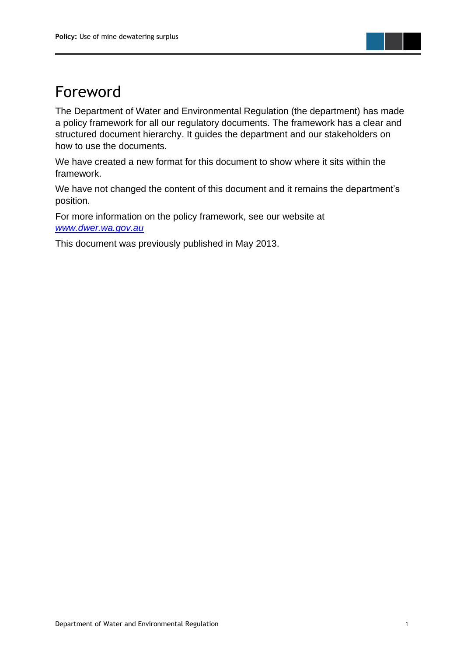

## Foreword

The Department of Water and Environmental Regulation (the department) has made a policy framework for all our regulatory documents. The framework has a clear and structured document hierarchy. It guides the department and our stakeholders on how to use the documents.

We have created a new format for this document to show where it sits within the framework.

We have not changed the content of this document and it remains the department's position.

For more information on the policy framework, see our website at *[www.dwer.wa.gov.au](https://dwer.wa.gov.au/)*

This document was previously published in May 2013.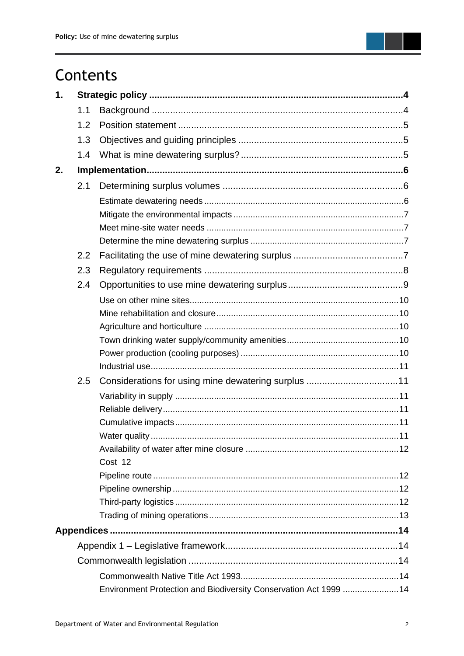

| 1. |     |                                                                  |  |
|----|-----|------------------------------------------------------------------|--|
|    | 1.1 |                                                                  |  |
|    | 1.2 |                                                                  |  |
|    | 1.3 |                                                                  |  |
|    | 1.4 |                                                                  |  |
| 2. |     |                                                                  |  |
|    | 2.1 |                                                                  |  |
|    |     |                                                                  |  |
|    |     |                                                                  |  |
|    |     |                                                                  |  |
|    |     |                                                                  |  |
|    | 2.2 |                                                                  |  |
|    | 2.3 |                                                                  |  |
|    | 2.4 |                                                                  |  |
|    |     |                                                                  |  |
|    |     |                                                                  |  |
|    |     |                                                                  |  |
|    |     |                                                                  |  |
|    |     |                                                                  |  |
|    |     |                                                                  |  |
|    | 2.5 |                                                                  |  |
|    |     |                                                                  |  |
|    |     |                                                                  |  |
|    |     |                                                                  |  |
|    |     |                                                                  |  |
|    |     |                                                                  |  |
|    |     | Cost 12                                                          |  |
|    |     |                                                                  |  |
|    |     |                                                                  |  |
|    |     |                                                                  |  |
|    |     |                                                                  |  |
|    |     |                                                                  |  |
|    |     |                                                                  |  |
|    |     |                                                                  |  |
|    |     |                                                                  |  |
|    |     | Environment Protection and Biodiversity Conservation Act 1999 14 |  |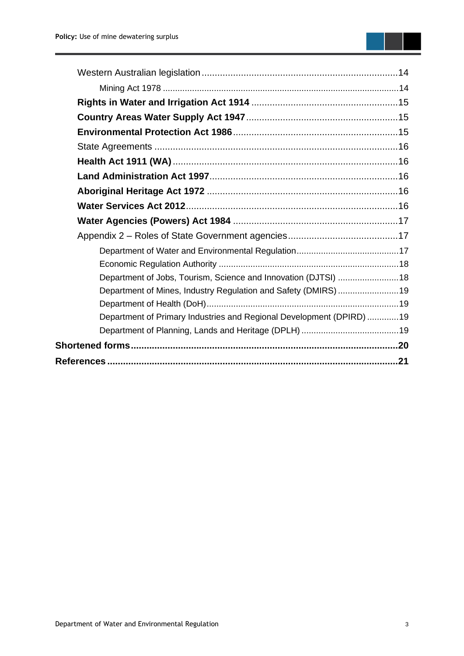| Department of Jobs, Tourism, Science and Innovation (DJTSI) 18       |  |
|----------------------------------------------------------------------|--|
| Department of Mines, Industry Regulation and Safety (DMIRS) 19       |  |
|                                                                      |  |
| Department of Primary Industries and Regional Development (DPIRD) 19 |  |
|                                                                      |  |
|                                                                      |  |
|                                                                      |  |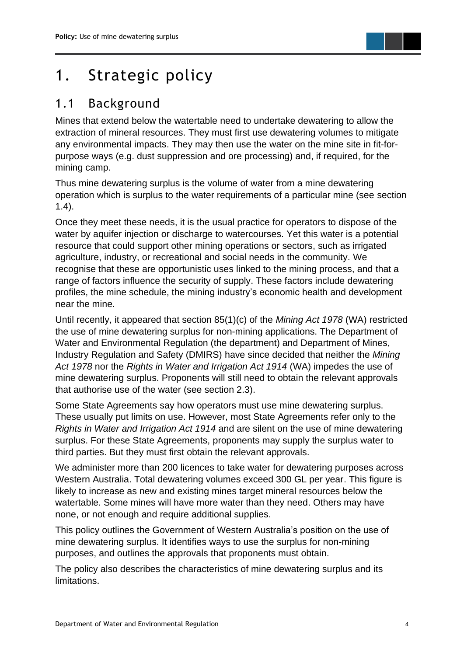

## <span id="page-5-0"></span>1. Strategic policy

### <span id="page-5-1"></span>1.1 Background

Mines that extend below the watertable need to undertake dewatering to allow the extraction of mineral resources. They must first use dewatering volumes to mitigate any environmental impacts. They may then use the water on the mine site in fit-forpurpose ways (e.g. dust suppression and ore processing) and, if required, for the mining camp.

Thus mine dewatering surplus is the volume of water from a mine dewatering operation which is surplus to the water requirements of a particular mine (see section 1.4).

Once they meet these needs, it is the usual practice for operators to dispose of the water by aquifer injection or discharge to watercourses. Yet this water is a potential resource that could support other mining operations or sectors, such as irrigated agriculture, industry, or recreational and social needs in the community. We recognise that these are opportunistic uses linked to the mining process, and that a range of factors influence the security of supply. These factors include dewatering profiles, the mine schedule, the mining industry's economic health and development near the mine.

Until recently, it appeared that section 85(1)(c) of the *Mining Act 1978* (WA) restricted the use of mine dewatering surplus for non-mining applications. The Department of Water and Environmental Regulation (the department) and Department of Mines, Industry Regulation and Safety (DMIRS) have since decided that neither the *Mining Act 1978* nor the *Rights in Water and Irrigation Act 1914* (WA) impedes the use of mine dewatering surplus. Proponents will still need to obtain the relevant approvals that authorise use of the water (see section 2.3).

Some State Agreements say how operators must use mine dewatering surplus. These usually put limits on use. However, most State Agreements refer only to the *Rights in Water and Irrigation Act 1914* and are silent on the use of mine dewatering surplus. For these State Agreements, proponents may supply the surplus water to third parties. But they must first obtain the relevant approvals.

We administer more than 200 licences to take water for dewatering purposes across Western Australia. Total dewatering volumes exceed 300 GL per year. This figure is likely to increase as new and existing mines target mineral resources below the watertable. Some mines will have more water than they need. Others may have none, or not enough and require additional supplies.

This policy outlines the Government of Western Australia's position on the use of mine dewatering surplus. It identifies ways to use the surplus for non-mining purposes, and outlines the approvals that proponents must obtain.

The policy also describes the characteristics of mine dewatering surplus and its limitations.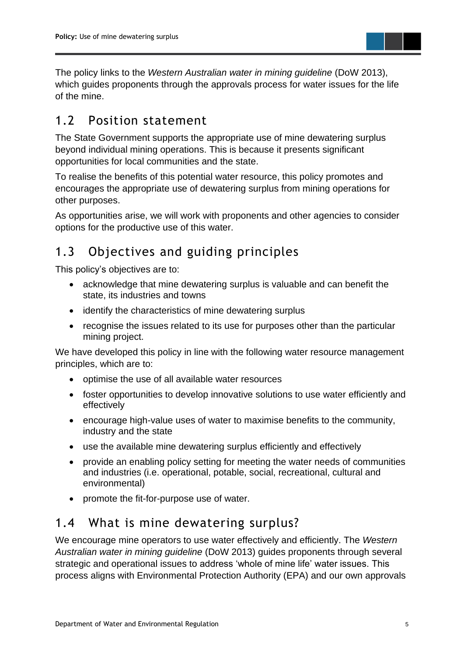

The policy links to the *Western Australian water in mining guideline* (DoW 2013), which guides proponents through the approvals process for water issues for the life of the mine.

### <span id="page-6-0"></span>1.2 Position statement

The State Government supports the appropriate use of mine dewatering surplus beyond individual mining operations. This is because it presents significant opportunities for local communities and the state.

To realise the benefits of this potential water resource, this policy promotes and encourages the appropriate use of dewatering surplus from mining operations for other purposes.

As opportunities arise, we will work with proponents and other agencies to consider options for the productive use of this water.

### <span id="page-6-1"></span>1.3 Objectives and guiding principles

This policy's objectives are to:

- acknowledge that mine dewatering surplus is valuable and can benefit the state, its industries and towns
- identify the characteristics of mine dewatering surplus
- recognise the issues related to its use for purposes other than the particular mining project.

We have developed this policy in line with the following water resource management principles, which are to:

- optimise the use of all available water resources
- foster opportunities to develop innovative solutions to use water efficiently and effectively
- encourage high-value uses of water to maximise benefits to the community, industry and the state
- use the available mine dewatering surplus efficiently and effectively
- provide an enabling policy setting for meeting the water needs of communities and industries (i.e. operational, potable, social, recreational, cultural and environmental)
- promote the fit-for-purpose use of water.

### <span id="page-6-2"></span>1.4 What is mine dewatering surplus?

We encourage mine operators to use water effectively and efficiently. The *Western Australian water in mining guideline* (DoW 2013) guides proponents through several strategic and operational issues to address 'whole of mine life' water issues. This process aligns with Environmental Protection Authority (EPA) and our own approvals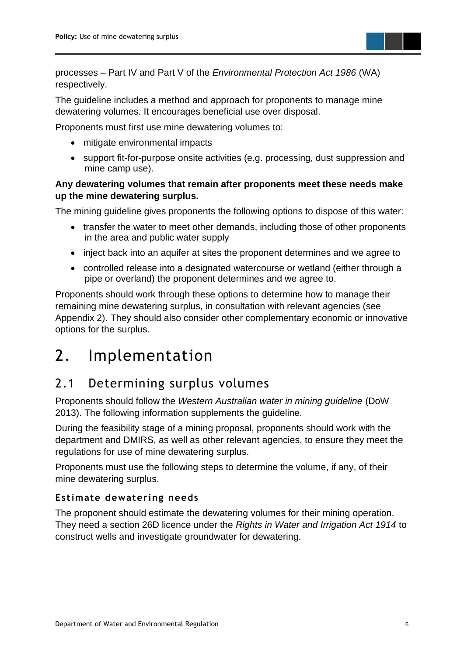

processes – Part IV and Part V of the *Environmental Protection Act 1986* (WA) respectively.

The guideline includes a method and approach for proponents to manage mine dewatering volumes. It encourages beneficial use over disposal.

Proponents must first use mine dewatering volumes to:

- mitigate environmental impacts
- support fit-for-purpose onsite activities (e.g. processing, dust suppression and mine camp use).

#### **Any dewatering volumes that remain after proponents meet these needs make up the mine dewatering surplus.**

The mining guideline gives proponents the following options to dispose of this water:

- transfer the water to meet other demands, including those of other proponents in the area and public water supply
- inject back into an aquifer at sites the proponent determines and we agree to
- controlled release into a designated watercourse or wetland (either through a pipe or overland) the proponent determines and we agree to.

Proponents should work through these options to determine how to manage their remaining mine dewatering surplus, in consultation with relevant agencies (see Appendix 2). They should also consider other complementary economic or innovative options for the surplus.

## <span id="page-7-0"></span>2. Implementation

### <span id="page-7-1"></span>2.1 Determining surplus volumes

Proponents should follow the *Western Australian water in mining guideline* (DoW 2013). The following information supplements the guideline.

During the feasibility stage of a mining proposal, proponents should work with the department and DMIRS, as well as other relevant agencies, to ensure they meet the regulations for use of mine dewatering surplus.

Proponents must use the following steps to determine the volume, if any, of their mine dewatering surplus.

#### <span id="page-7-2"></span>**Estimate dewatering needs**

The proponent should estimate the dewatering volumes for their mining operation. They need a section 26D licence under the *Rights in Water and Irrigation Act 1914* to construct wells and investigate groundwater for dewatering.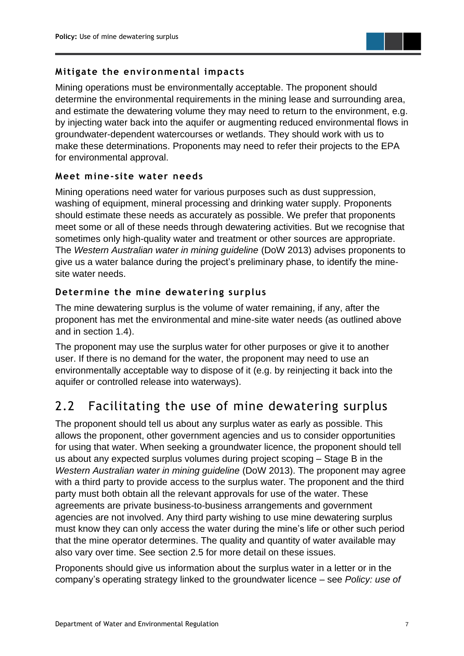

#### <span id="page-8-0"></span>**Mitigate the environmental impacts**

Mining operations must be environmentally acceptable. The proponent should determine the environmental requirements in the mining lease and surrounding area, and estimate the dewatering volume they may need to return to the environment, e.g. by injecting water back into the aquifer or augmenting reduced environmental flows in groundwater-dependent watercourses or wetlands. They should work with us to make these determinations. Proponents may need to refer their projects to the EPA for environmental approval.

#### <span id="page-8-1"></span>**Meet mine- site water needs**

Mining operations need water for various purposes such as dust suppression, washing of equipment, mineral processing and drinking water supply. Proponents should estimate these needs as accurately as possible. We prefer that proponents meet some or all of these needs through dewatering activities. But we recognise that sometimes only high-quality water and treatment or other sources are appropriate. The *Western Australian water in mining guideline* (DoW 2013) advises proponents to give us a water balance during the project's preliminary phase, to identify the minesite water needs.

#### <span id="page-8-2"></span>**Determine the mine dewatering surplus**

The mine dewatering surplus is the volume of water remaining, if any, after the proponent has met the environmental and mine-site water needs (as outlined above and in section 1.4).

The proponent may use the surplus water for other purposes or give it to another user. If there is no demand for the water, the proponent may need to use an environmentally acceptable way to dispose of it (e.g. by reinjecting it back into the aquifer or controlled release into waterways).

### <span id="page-8-3"></span>2.2 Facilitating the use of mine dewatering surplus

The proponent should tell us about any surplus water as early as possible. This allows the proponent, other government agencies and us to consider opportunities for using that water. When seeking a groundwater licence, the proponent should tell us about any expected surplus volumes during project scoping – Stage B in the *Western Australian water in mining guideline* (DoW 2013). The proponent may agree with a third party to provide access to the surplus water. The proponent and the third party must both obtain all the relevant approvals for use of the water. These agreements are private business-to-business arrangements and government agencies are not involved. Any third party wishing to use mine dewatering surplus must know they can only access the water during the mine's life or other such period that the mine operator determines. The quality and quantity of water available may also vary over time. See section 2.5 for more detail on these issues.

Proponents should give us information about the surplus water in a letter or in the company's operating strategy linked to the groundwater licence – see *Policy: use of*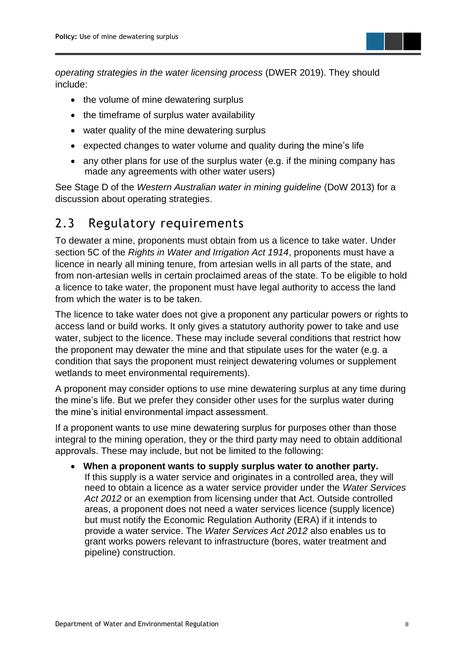

*operating strategies in the water licensing process* (DWER 2019). They should include:

- the volume of mine dewatering surplus
- the timeframe of surplus water availability
- water quality of the mine dewatering surplus
- expected changes to water volume and quality during the mine's life
- any other plans for use of the surplus water (e.g. if the mining company has made any agreements with other water users)

See Stage D of the *Western Australian water in mining guideline* (DoW 2013) for a discussion about operating strategies.

### <span id="page-9-0"></span>2.3 Regulatory requirements

To dewater a mine, proponents must obtain from us a licence to take water. Under section 5C of the *Rights in Water and Irrigation Act 1914*, proponents must have a licence in nearly all mining tenure, from artesian wells in all parts of the state, and from non-artesian wells in certain proclaimed areas of the state. To be eligible to hold a licence to take water, the proponent must have legal authority to access the land from which the water is to be taken.

The licence to take water does not give a proponent any particular powers or rights to access land or build works. It only gives a statutory authority power to take and use water, subject to the licence. These may include several conditions that restrict how the proponent may dewater the mine and that stipulate uses for the water (e.g. a condition that says the proponent must reinject dewatering volumes or supplement wetlands to meet environmental requirements).

A proponent may consider options to use mine dewatering surplus at any time during the mine's life. But we prefer they consider other uses for the surplus water during the mine's initial environmental impact assessment.

If a proponent wants to use mine dewatering surplus for purposes other than those integral to the mining operation, they or the third party may need to obtain additional approvals. These may include, but not be limited to the following:

• **When a proponent wants to supply surplus water to another party.** If this supply is a water service and originates in a controlled area, they will need to obtain a licence as a water service provider under the *Water Services Act 2012* or an exemption from licensing under that Act. Outside controlled areas, a proponent does not need a water services licence (supply licence) but must notify the Economic Regulation Authority (ERA) if it intends to provide a water service. The *Water Services Act 2012* also enables us to grant works powers relevant to infrastructure (bores, water treatment and pipeline) construction.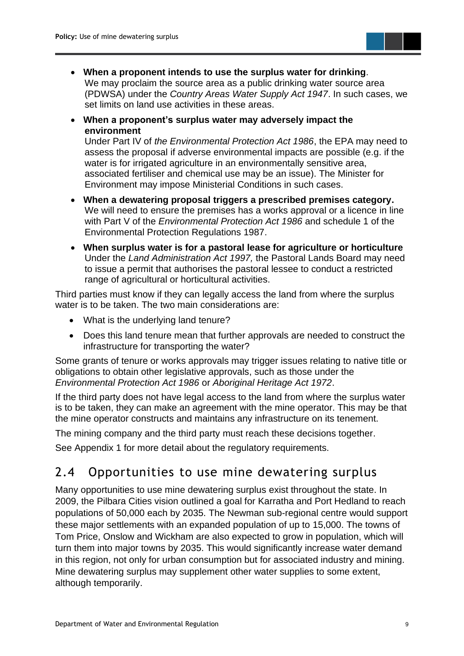

- **When a proponent intends to use the surplus water for drinking**. We may proclaim the source area as a public drinking water source area (PDWSA) under the *Country Areas Water Supply Act 1947*. In such cases, we set limits on land use activities in these areas.
- **When a proponent's surplus water may adversely impact the environment**

Under Part IV of *the Environmental Protection Act 1986*, the EPA may need to assess the proposal if adverse environmental impacts are possible (e.g. if the water is for irrigated agriculture in an environmentally sensitive area, associated fertiliser and chemical use may be an issue). The Minister for Environment may impose Ministerial Conditions in such cases.

- **When a dewatering proposal triggers a prescribed premises category.** We will need to ensure the premises has a works approval or a licence in line with Part V of the *Environmental Protection Act 1986* and schedule 1 of the Environmental Protection Regulations 1987.
- **When surplus water is for a pastoral lease for agriculture or horticulture** Under the *Land Administration Act 1997,* the Pastoral Lands Board may need to issue a permit that authorises the pastoral lessee to conduct a restricted range of agricultural or horticultural activities.

Third parties must know if they can legally access the land from where the surplus water is to be taken. The two main considerations are:

- What is the underlying land tenure?
- Does this land tenure mean that further approvals are needed to construct the infrastructure for transporting the water?

Some grants of tenure or works approvals may trigger issues relating to native title or obligations to obtain other legislative approvals, such as those under the *Environmental Protection Act 1986* or *Aboriginal Heritage Act 1972*.

If the third party does not have legal access to the land from where the surplus water is to be taken, they can make an agreement with the mine operator. This may be that the mine operator constructs and maintains any infrastructure on its tenement.

The mining company and the third party must reach these decisions together.

See Appendix 1 for more detail about the regulatory requirements.

### <span id="page-10-0"></span>2.4 Opportunities to use mine dewatering surplus

Many opportunities to use mine dewatering surplus exist throughout the state. In 2009, the Pilbara Cities vision outlined a goal for Karratha and Port Hedland to reach populations of 50,000 each by 2035. The Newman sub-regional centre would support these major settlements with an expanded population of up to 15,000. The towns of Tom Price, Onslow and Wickham are also expected to grow in population, which will turn them into major towns by 2035. This would significantly increase water demand in this region, not only for urban consumption but for associated industry and mining. Mine dewatering surplus may supplement other water supplies to some extent, although temporarily.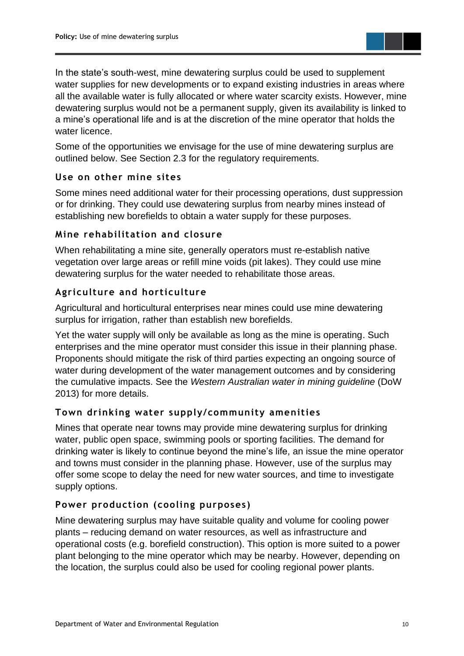

In the state's south-west, mine dewatering surplus could be used to supplement water supplies for new developments or to expand existing industries in areas where all the available water is fully allocated or where water scarcity exists. However, mine dewatering surplus would not be a permanent supply, given its availability is linked to a mine's operational life and is at the discretion of the mine operator that holds the water licence.

Some of the opportunities we envisage for the use of mine dewatering surplus are outlined below. See Section 2.3 for the regulatory requirements.

#### <span id="page-11-0"></span>**Use on other mine sites**

Some mines need additional water for their processing operations, dust suppression or for drinking. They could use dewatering surplus from nearby mines instead of establishing new borefields to obtain a water supply for these purposes.

#### <span id="page-11-1"></span>**Mine rehabilitation and closure**

When rehabilitating a mine site, generally operators must re-establish native vegetation over large areas or refill mine voids (pit lakes). They could use mine dewatering surplus for the water needed to rehabilitate those areas.

#### <span id="page-11-2"></span>**Agriculture and horticulture**

Agricultural and horticultural enterprises near mines could use mine dewatering surplus for irrigation, rather than establish new borefields.

Yet the water supply will only be available as long as the mine is operating. Such enterprises and the mine operator must consider this issue in their planning phase. Proponents should mitigate the risk of third parties expecting an ongoing source of water during development of the water management outcomes and by considering the cumulative impacts. See the *Western Australian water in mining guideline* (DoW 2013) for more details.

#### <span id="page-11-3"></span>**Town drinking water supply/community amenities**

Mines that operate near towns may provide mine dewatering surplus for drinking water, public open space, swimming pools or sporting facilities. The demand for drinking water is likely to continue beyond the mine's life, an issue the mine operator and towns must consider in the planning phase. However, use of the surplus may offer some scope to delay the need for new water sources, and time to investigate supply options.

#### <span id="page-11-4"></span>**Power production (cooling purposes)**

Mine dewatering surplus may have suitable quality and volume for cooling power plants – reducing demand on water resources, as well as infrastructure and operational costs (e.g. borefield construction). This option is more suited to a power plant belonging to the mine operator which may be nearby. However, depending on the location, the surplus could also be used for cooling regional power plants.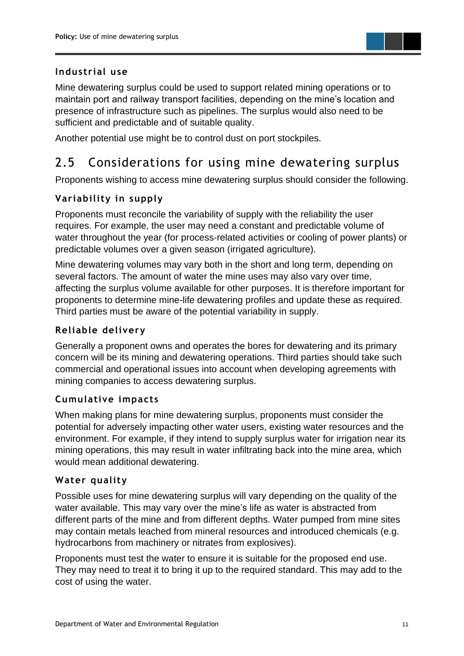

#### <span id="page-12-0"></span>**Industrial use**

Mine dewatering surplus could be used to support related mining operations or to maintain port and railway transport facilities, depending on the mine's location and presence of infrastructure such as pipelines. The surplus would also need to be sufficient and predictable and of suitable quality.

Another potential use might be to control dust on port stockpiles.

### <span id="page-12-1"></span>2.5 Considerations for using mine dewatering surplus

Proponents wishing to access mine dewatering surplus should consider the following.

#### <span id="page-12-2"></span>**Variability in supply**

Proponents must reconcile the variability of supply with the reliability the user requires. For example, the user may need a constant and predictable volume of water throughout the year (for process-related activities or cooling of power plants) or predictable volumes over a given season (irrigated agriculture).

Mine dewatering volumes may vary both in the short and long term, depending on several factors. The amount of water the mine uses may also vary over time, affecting the surplus volume available for other purposes. It is therefore important for proponents to determine mine-life dewatering profiles and update these as required. Third parties must be aware of the potential variability in supply.

#### <span id="page-12-3"></span>**Reliable delivery**

Generally a proponent owns and operates the bores for dewatering and its primary concern will be its mining and dewatering operations. Third parties should take such commercial and operational issues into account when developing agreements with mining companies to access dewatering surplus.

#### <span id="page-12-4"></span>**Cumulative impacts**

When making plans for mine dewatering surplus, proponents must consider the potential for adversely impacting other water users, existing water resources and the environment. For example, if they intend to supply surplus water for irrigation near its mining operations, this may result in water infiltrating back into the mine area, which would mean additional dewatering.

#### <span id="page-12-5"></span>**Water quality**

Possible uses for mine dewatering surplus will vary depending on the quality of the water available. This may vary over the mine's life as water is abstracted from different parts of the mine and from different depths. Water pumped from mine sites may contain metals leached from mineral resources and introduced chemicals (e.g. hydrocarbons from machinery or nitrates from explosives).

Proponents must test the water to ensure it is suitable for the proposed end use. They may need to treat it to bring it up to the required standard. This may add to the cost of using the water.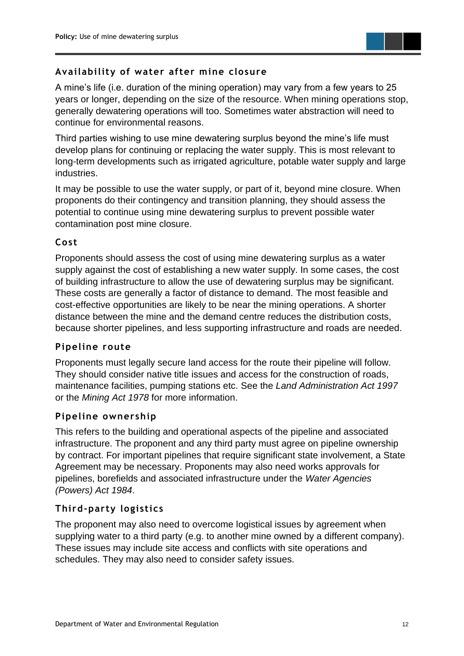

#### <span id="page-13-0"></span>**Availability of water after mine closure**

A mine's life (i.e. duration of the mining operation) may vary from a few years to 25 years or longer, depending on the size of the resource. When mining operations stop, generally dewatering operations will too. Sometimes water abstraction will need to continue for environmental reasons.

Third parties wishing to use mine dewatering surplus beyond the mine's life must develop plans for continuing or replacing the water supply. This is most relevant to long-term developments such as irrigated agriculture, potable water supply and large industries.

It may be possible to use the water supply, or part of it, beyond mine closure. When proponents do their contingency and transition planning, they should assess the potential to continue using mine dewatering surplus to prevent possible water contamination post mine closure.

#### <span id="page-13-1"></span>**Cos t**

Proponents should assess the cost of using mine dewatering surplus as a water supply against the cost of establishing a new water supply. In some cases, the cost of building infrastructure to allow the use of dewatering surplus may be significant. These costs are generally a factor of distance to demand. The most feasible and cost-effective opportunities are likely to be near the mining operations. A shorter distance between the mine and the demand centre reduces the distribution costs, because shorter pipelines, and less supporting infrastructure and roads are needed.

#### <span id="page-13-2"></span>**Pipeline route**

Proponents must legally secure land access for the route their pipeline will follow. They should consider native title issues and access for the construction of roads, maintenance facilities, pumping stations etc. See the *Land Administration Act 1997* or the *Mining Act 1978* for more information.

#### <span id="page-13-3"></span>**Pipeline ownership**

This refers to the building and operational aspects of the pipeline and associated infrastructure. The proponent and any third party must agree on pipeline ownership by contract. For important pipelines that require significant state involvement, a State Agreement may be necessary. Proponents may also need works approvals for pipelines, borefields and associated infrastructure under the *Water Agencies (Powers) Act 1984*.

#### <span id="page-13-4"></span>**Third-party logistics**

The proponent may also need to overcome logistical issues by agreement when supplying water to a third party (e.g. to another mine owned by a different company). These issues may include site access and conflicts with site operations and schedules. They may also need to consider safety issues.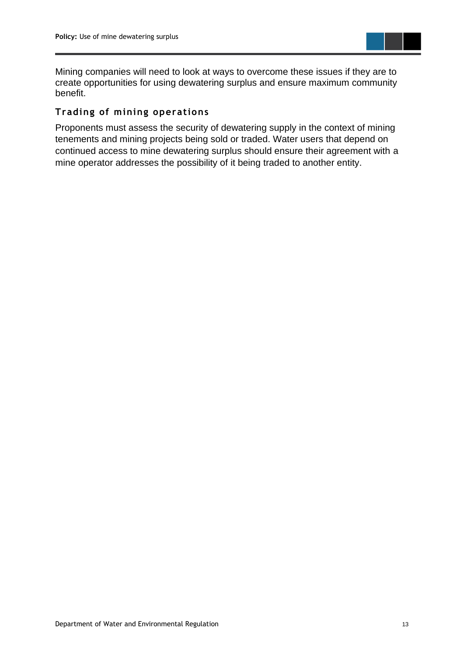

Mining companies will need to look at ways to overcome these issues if they are to create opportunities for using dewatering surplus and ensure maximum community benefit.

#### <span id="page-14-0"></span>**Trading of mining operations**

Proponents must assess the security of dewatering supply in the context of mining tenements and mining projects being sold or traded. Water users that depend on continued access to mine dewatering surplus should ensure their agreement with a mine operator addresses the possibility of it being traded to another entity.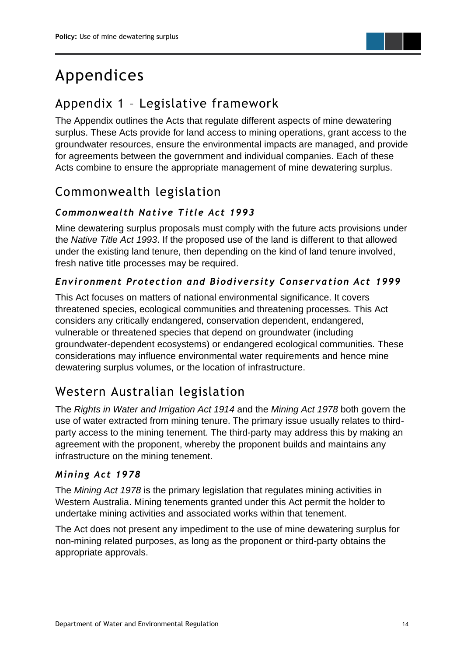

## <span id="page-15-0"></span>Appendices

### <span id="page-15-1"></span>Appendix 1 – Legislative framework

The Appendix outlines the Acts that regulate different aspects of mine dewatering surplus. These Acts provide for land access to mining operations, grant access to the groundwater resources, ensure the environmental impacts are managed, and provide for agreements between the government and individual companies. Each of these Acts combine to ensure the appropriate management of mine dewatering surplus.

### <span id="page-15-2"></span>Commonwealth legislation

#### <span id="page-15-3"></span>*Commonwealth Native Title Act 1993*

Mine dewatering surplus proposals must comply with the future acts provisions under the *Native Title Act 1993*. If the proposed use of the land is different to that allowed under the existing land tenure, then depending on the kind of land tenure involved, fresh native title processes may be required.

#### <span id="page-15-4"></span>*Environment Protection and Biodiversity Conservation Act 1999*

This Act focuses on matters of national environmental significance. It covers threatened species, ecological communities and threatening processes. This Act considers any critically endangered, conservation dependent, endangered, vulnerable or threatened species that depend on groundwater (including groundwater-dependent ecosystems) or endangered ecological communities. These considerations may influence environmental water requirements and hence mine dewatering surplus volumes, or the location of infrastructure.

### <span id="page-15-5"></span>Western Australian legislation

The *Rights in Water and Irrigation Act 1914* and the *Mining Act 1978* both govern the use of water extracted from mining tenure. The primary issue usually relates to thirdparty access to the mining tenement. The third-party may address this by making an agreement with the proponent, whereby the proponent builds and maintains any infrastructure on the mining tenement.

#### <span id="page-15-6"></span>*Mining Act 1978*

The *Mining Act 1978* is the primary legislation that regulates mining activities in Western Australia. Mining tenements granted under this Act permit the holder to undertake mining activities and associated works within that tenement.

The Act does not present any impediment to the use of mine dewatering surplus for non-mining related purposes, as long as the proponent or third-party obtains the appropriate approvals.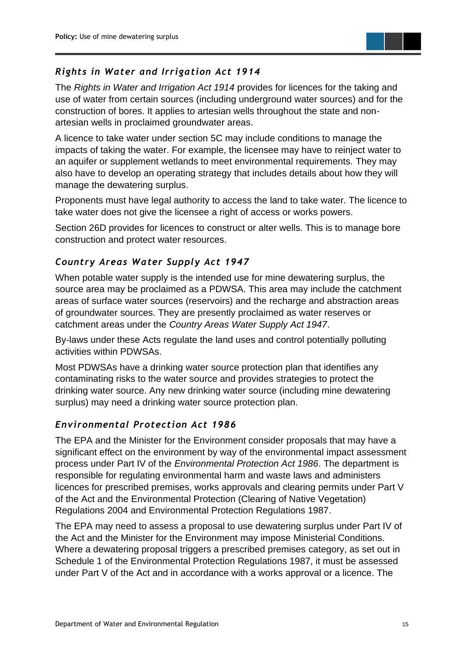

#### <span id="page-16-0"></span>*Rights in Water and Irrigation Act 1914*

The *Rights in Water and Irrigation Act 1914* provides for licences for the taking and use of water from certain sources (including underground water sources) and for the construction of bores. It applies to artesian wells throughout the state and nonartesian wells in proclaimed groundwater areas.

A licence to take water under section 5C may include conditions to manage the impacts of taking the water. For example, the licensee may have to reinject water to an aquifer or supplement wetlands to meet environmental requirements. They may also have to develop an operating strategy that includes details about how they will manage the dewatering surplus.

Proponents must have legal authority to access the land to take water. The licence to take water does not give the licensee a right of access or works powers.

Section 26D provides for licences to construct or alter wells. This is to manage bore construction and protect water resources.

#### <span id="page-16-1"></span>*Country Areas Water Supply Act 1947*

When potable water supply is the intended use for mine dewatering surplus, the source area may be proclaimed as a PDWSA. This area may include the catchment areas of surface water sources (reservoirs) and the recharge and abstraction areas of groundwater sources. They are presently proclaimed as water reserves or catchment areas under the *Country Areas Water Supply Act 1947*.

By-laws under these Acts regulate the land uses and control potentially polluting activities within PDWSAs.

Most PDWSAs have a drinking water source protection plan that identifies any contaminating risks to the water source and provides strategies to protect the drinking water source. Any new drinking water source (including mine dewatering surplus) may need a drinking water source protection plan.

#### <span id="page-16-2"></span>*Environmental Protection Act 1986*

The EPA and the Minister for the Environment consider proposals that may have a significant effect on the environment by way of the environmental impact assessment process under Part IV of the *Environmental Protection Act 1986*. The department is responsible for regulating environmental harm and waste laws and administers licences for prescribed premises, works approvals and clearing permits under Part V of the Act and the Environmental Protection (Clearing of Native Vegetation) Regulations 2004 and Environmental Protection Regulations 1987.

The EPA may need to assess a proposal to use dewatering surplus under Part IV of the Act and the Minister for the Environment may impose Ministerial Conditions. Where a dewatering proposal triggers a prescribed premises category, as set out in Schedule 1 of the Environmental Protection Regulations 1987, it must be assessed under Part V of the Act and in accordance with a works approval or a licence. The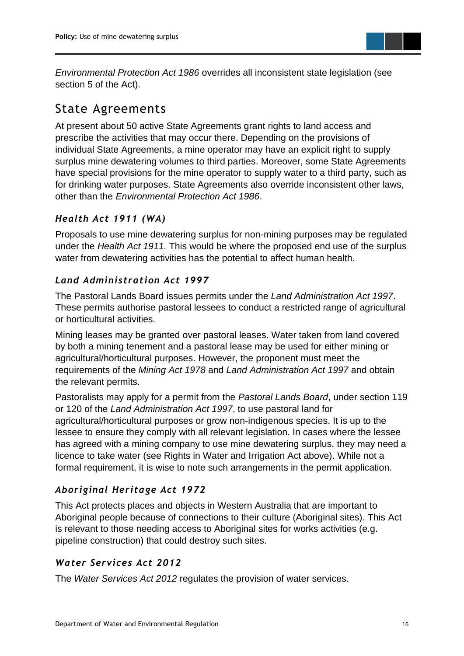

*Environmental Protection Act 1986* overrides all inconsistent state legislation (see section 5 of the Act).

### <span id="page-17-0"></span>State Agreements

At present about 50 active State Agreements grant rights to land access and prescribe the activities that may occur there. Depending on the provisions of individual State Agreements, a mine operator may have an explicit right to supply surplus mine dewatering volumes to third parties. Moreover, some State Agreements have special provisions for the mine operator to supply water to a third party, such as for drinking water purposes. State Agreements also override inconsistent other laws, other than the *Environmental Protection Act 1986*.

#### <span id="page-17-1"></span>*Health Act 1911 (WA)*

Proposals to use mine dewatering surplus for non-mining purposes may be regulated under the *Health Act 1911.* This would be where the proposed end use of the surplus water from dewatering activities has the potential to affect human health.

#### <span id="page-17-2"></span>*Land Administration Act 1997*

The Pastoral Lands Board issues permits under the *Land Administration Act 1997*. These permits authorise pastoral lessees to conduct a restricted range of agricultural or horticultural activities.

Mining leases may be granted over pastoral leases. Water taken from land covered by both a mining tenement and a pastoral lease may be used for either mining or agricultural/horticultural purposes. However, the proponent must meet the requirements of the *Mining Act 1978* and *Land Administration Act 1997* and obtain the relevant permits.

Pastoralists may apply for a permit from the *Pastoral Lands Board*, under section 119 or 120 of the *Land Administration Act 1997*, to use pastoral land for agricultural/horticultural purposes or grow non-indigenous species. It is up to the lessee to ensure they comply with all relevant legislation. In cases where the lessee has agreed with a mining company to use mine dewatering surplus, they may need a licence to take water (see Rights in Water and Irrigation Act above). While not a formal requirement, it is wise to note such arrangements in the permit application.

#### <span id="page-17-3"></span>*Aboriginal Heritage Act 1972*

This Act protects places and objects in Western Australia that are important to Aboriginal people because of connections to their culture (Aboriginal sites). This Act is relevant to those needing access to Aboriginal sites for works activities (e.g. pipeline construction) that could destroy such sites.

#### <span id="page-17-4"></span>*Water Services Act 2012*

The *Water Services Act 2012* regulates the provision of water services.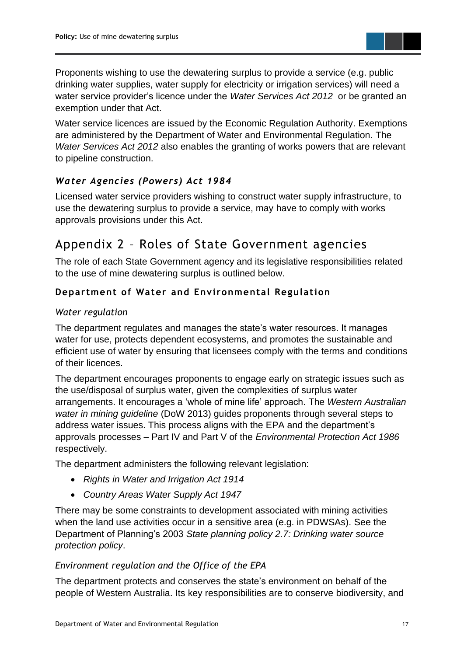Proponents wishing to use the dewatering surplus to provide a service (e.g. public drinking water supplies, water supply for electricity or irrigation services) will need a water service provider's licence under the *Water Services Act 2012* or be granted an exemption under that Act.

Water service licences are issued by the Economic Regulation Authority. Exemptions are administered by the Department of Water and Environmental Regulation. The *Water Services Act 2012* also enables the granting of works powers that are relevant to pipeline construction.

#### <span id="page-18-0"></span>*Water Agencies (Powers) Act 1984*

Licensed water service providers wishing to construct water supply infrastructure, to use the dewatering surplus to provide a service, may have to comply with works approvals provisions under this Act.

### <span id="page-18-1"></span>Appendix 2 – Roles of State Government agencies

The role of each State Government agency and its legislative responsibilities related to the use of mine dewatering surplus is outlined below.

#### <span id="page-18-2"></span>**Department of Water and Environmental Regulation**

#### *Water regulation*

The department regulates and manages the state's water resources. It manages water for use, protects dependent ecosystems, and promotes the sustainable and efficient use of water by ensuring that licensees comply with the terms and conditions of their licences.

The department encourages proponents to engage early on strategic issues such as the use/disposal of surplus water, given the complexities of surplus water arrangements. It encourages a 'whole of mine life' approach. The *Western Australian water in mining guideline* (DoW 2013) guides proponents through several steps to address water issues. This process aligns with the EPA and the department's approvals processes – Part IV and Part V of the *Environmental Protection Act 1986* respectively.

The department administers the following relevant legislation:

- *Rights in Water and Irrigation Act 1914*
- *Country Areas Water Supply Act 1947*

There may be some constraints to development associated with mining activities when the land use activities occur in a sensitive area (e.g. in PDWSAs). See the Department of Planning's 2003 *State planning policy 2.7: Drinking water source protection policy*.

#### *Environment regulation and the Office of the EPA*

The department protects and conserves the state's environment on behalf of the people of Western Australia. Its key responsibilities are to conserve biodiversity, and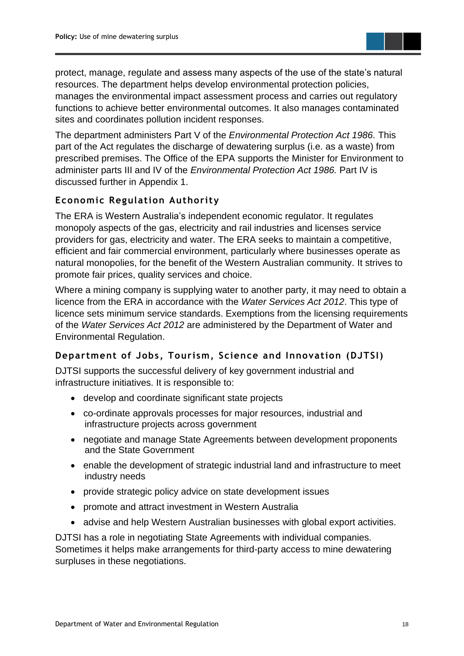protect, manage, regulate and assess many aspects of the use of the state's natural resources. The department helps develop environmental protection policies, manages the environmental impact assessment process and carries out regulatory functions to achieve better environmental outcomes. It also manages contaminated sites and coordinates pollution incident responses.

The department administers Part V of the *Environmental Protection Act 1986.* This part of the Act regulates the discharge of dewatering surplus (i.e. as a waste) from prescribed premises. The Office of the EPA supports the Minister for Environment to administer parts III and IV of the *Environmental Protection Act 1986.* Part IV is discussed further in Appendix 1.

#### <span id="page-19-0"></span>**Economic Regulation Authority**

The ERA is Western Australia's independent economic regulator. It regulates monopoly aspects of the gas, electricity and rail industries and licenses service providers for gas, electricity and water. The ERA seeks to maintain a competitive, efficient and fair commercial environment, particularly where businesses operate as natural monopolies, for the benefit of the Western Australian community. It strives to promote fair prices, quality services and choice.

Where a mining company is supplying water to another party, it may need to obtain a licence from the ERA in accordance with the *Water Services Act 2012*. This type of licence sets minimum service standards. Exemptions from the licensing requirements of the *Water Services Act 2012* are administered by the Department of Water and Environmental Regulation.

#### <span id="page-19-1"></span>**Department of Jobs, Tourism, Science and Innovation (DJTSI)**

DJTSI supports the successful delivery of key government industrial and infrastructure initiatives. It is responsible to:

- develop and coordinate significant state projects
- co-ordinate approvals processes for major resources, industrial and infrastructure projects across government
- negotiate and manage State Agreements between development proponents and the State Government
- enable the development of strategic industrial land and infrastructure to meet industry needs
- provide strategic policy advice on state development issues
- promote and attract investment in Western Australia
- advise and help Western Australian businesses with global export activities.

DJTSI has a role in negotiating State Agreements with individual companies. Sometimes it helps make arrangements for third-party access to mine dewatering surpluses in these negotiations.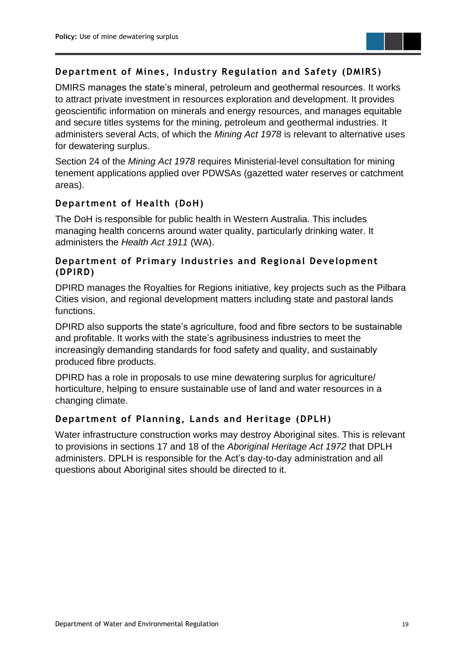

#### <span id="page-20-0"></span>**Department of Mines , Industry Regulation and Safety (DMIRS)**

DMIRS manages the state's mineral, petroleum and geothermal resources. It works to attract private investment in resources exploration and development. It provides geoscientific information on minerals and energy resources, and manages equitable and secure titles systems for the mining, petroleum and geothermal industries. It administers several Acts, of which the *Mining Act 1978* is relevant to alternative uses for dewatering surplus.

Section 24 of the *Mining Act 1978* requires Ministerial-level consultation for mining tenement applications applied over PDWSAs (gazetted water reserves or catchment areas).

#### <span id="page-20-1"></span>**Department of Health (DoH)**

The DoH is responsible for public health in Western Australia. This includes managing health concerns around water quality, particularly drinking water. It administers the *Health Act 1911* (WA).

#### <span id="page-20-2"></span>**Department of Primary Industries and Regional Development (DPIRD)**

DPIRD manages the Royalties for Regions initiative, key projects such as the Pilbara Cities vision, and regional development matters including state and pastoral lands functions.

DPIRD also supports the state's agriculture, food and fibre sectors to be sustainable and profitable. It works with the state's agribusiness industries to meet the increasingly demanding standards for food safety and quality, and sustainably produced fibre products.

DPIRD has a role in proposals to use mine dewatering surplus for agriculture/ horticulture, helping to ensure sustainable use of land and water resources in a changing climate.

#### <span id="page-20-3"></span>**Department of Planning, Lands and Heritage (DPLH)**

Water infrastructure construction works may destroy Aboriginal sites. This is relevant to provisions in sections 17 and 18 of the *Aboriginal Heritage Act 1972* that DPLH administers. DPLH is responsible for the Act's day-to-day administration and all questions about Aboriginal sites should be directed to it.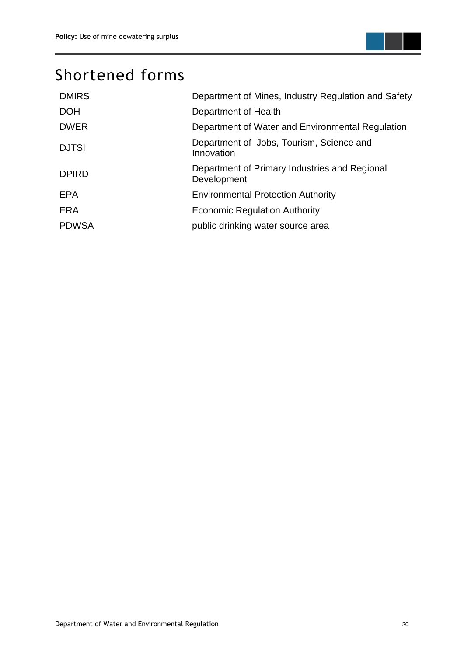

## <span id="page-21-0"></span>Shortened forms

| <b>DMIRS</b> | Department of Mines, Industry Regulation and Safety          |
|--------------|--------------------------------------------------------------|
| <b>DOH</b>   | Department of Health                                         |
| <b>DWER</b>  | Department of Water and Environmental Regulation             |
| <b>DJTSI</b> | Department of Jobs, Tourism, Science and<br>Innovation       |
| <b>DPIRD</b> | Department of Primary Industries and Regional<br>Development |
| <b>EPA</b>   | <b>Environmental Protection Authority</b>                    |
| <b>ERA</b>   | <b>Economic Regulation Authority</b>                         |
| <b>PDWSA</b> | public drinking water source area                            |